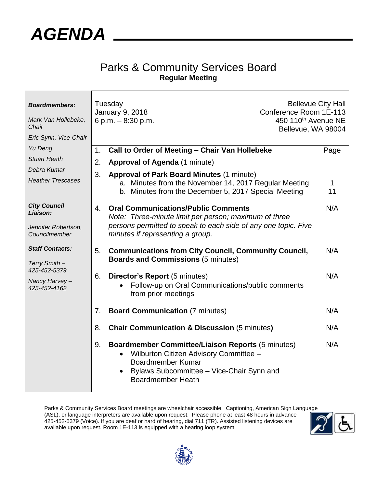

## Parks & Community Services Board **Regular Meeting**

| <b>Boardmembers:</b><br>Mark Van Hollebeke,<br>Chair<br>Eric Synn, Vice-Chair | Tuesday<br><b>Bellevue City Hall</b><br>Conference Room 1E-113<br>January 9, 2018<br>6 p.m. - 8:30 p.m.<br>450 110 <sup>th</sup> Avenue NE<br>Bellevue, WA 98004 |                                                                                                                                                                                                         |         |
|-------------------------------------------------------------------------------|------------------------------------------------------------------------------------------------------------------------------------------------------------------|---------------------------------------------------------------------------------------------------------------------------------------------------------------------------------------------------------|---------|
| Yu Deng                                                                       | 1.                                                                                                                                                               | Call to Order of Meeting - Chair Van Hollebeke                                                                                                                                                          | Page    |
| <b>Stuart Heath</b>                                                           | 2.                                                                                                                                                               | Approval of Agenda (1 minute)                                                                                                                                                                           |         |
| Debra Kumar                                                                   | 3.                                                                                                                                                               | <b>Approval of Park Board Minutes (1 minute)</b>                                                                                                                                                        |         |
| <b>Heather Trescases</b>                                                      |                                                                                                                                                                  | a. Minutes from the November 14, 2017 Regular Meeting<br>b. Minutes from the December 5, 2017 Special Meeting                                                                                           | 1<br>11 |
| <b>City Council</b><br>Liaison:                                               | 4.                                                                                                                                                               | <b>Oral Communications/Public Comments</b><br>Note: Three-minute limit per person; maximum of three                                                                                                     | N/A     |
| Jennifer Robertson,<br>Councilmember                                          |                                                                                                                                                                  | persons permitted to speak to each side of any one topic. Five<br>minutes if representing a group.                                                                                                      |         |
| <b>Staff Contacts:</b><br>Terry Smith-                                        | 5.                                                                                                                                                               | <b>Communications from City Council, Community Council,</b><br><b>Boards and Commissions (5 minutes)</b>                                                                                                | N/A     |
| 425-452-5379<br>Nancy Harvey-<br>425-452-4162                                 | 6.                                                                                                                                                               | Director's Report (5 minutes)<br>Follow-up on Oral Communications/public comments<br>from prior meetings                                                                                                | N/A     |
|                                                                               | 7.                                                                                                                                                               | <b>Board Communication (7 minutes)</b>                                                                                                                                                                  | N/A     |
|                                                                               | 8.                                                                                                                                                               | <b>Chair Communication &amp; Discussion (5 minutes)</b>                                                                                                                                                 | N/A     |
|                                                                               | 9.                                                                                                                                                               | <b>Boardmember Committee/Liaison Reports (5 minutes)</b><br>Wilburton Citizen Advisory Committee -<br><b>Boardmember Kumar</b><br>Bylaws Subcommittee - Vice-Chair Synn and<br><b>Boardmember Heath</b> | N/A     |

Parks & Community Services Board meetings are wheelchair accessible. Captioning, American Sign Language (ASL), or language interpreters are available upon request. Please phone at least 48 hours in advance 425-452-5379 (Voice). If you are deaf or hard of hearing, dial 711 (TR). Assisted listening devices are available upon request. Room 1E-113 is equipped with a hearing loop system.